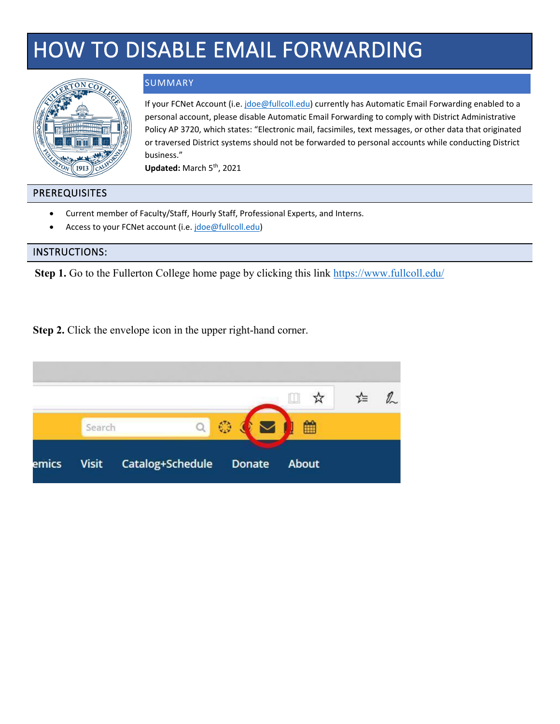# HOW TO DISABLE EMAIL FORWARDING



#### SUMMARY

If your FCNet Account (i.e[. jdoe@fullcoll.edu\)](mailto:jdoe@fullcoll.edu) currently has Automatic Email Forwarding enabled to a personal account, please disable Automatic Email Forwarding to comply with District Administrative Policy AP 3720, which states: "Electronic mail, facsimiles, text messages, or other data that originated or traversed District systems should not be forwarded to personal accounts while conducting District business."

Updated: March 5<sup>th</sup>, 2021

#### PREREQUISITES

- Current member of Faculty/Staff, Hourly Staff, Professional Experts, and Interns.
- Access to your FCNet account [\(i.e. jdoe@full](mailto:jdoe@fullcoll.edu)coll.edu)

#### INSTRUCTIONS:

**Step 1.** Go to the Fullerton College home page by clicking this link https://www.fullcoll.edu/

**Step 2.** Click the envelope icon in the upper right-hand corner.

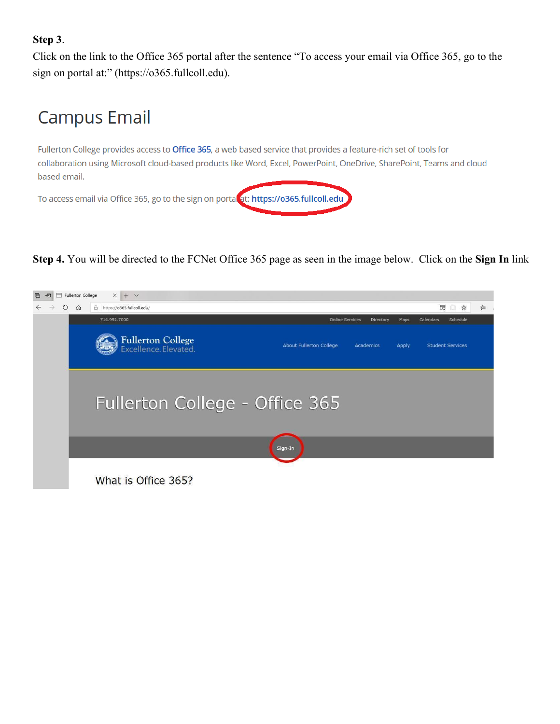### **Step 3**.

Click on the link to the Office 365 portal after the sentence "To access your email via Office 365, go to the sign on portal at:" (https://o365.fullcoll.edu).

# **Campus Email**

Fullerton College provides access to Office 365, a web based service that provides a feature-rich set of tools for collaboration using Microsoft cloud-based products like Word, Excel, PowerPoint, OneDrive, SharePoint, Teams and cloud based email.



**Step 4.** You will be directed to the FCNet Office 365 page as seen in the image below. Click on the **Sign In** link

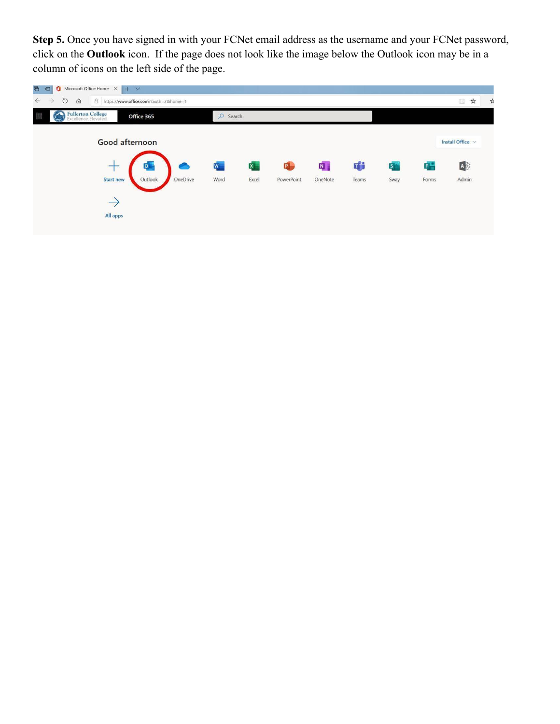**Step 5.** Once you have signed in with your FCNet email address as the username and your FCNet password, click on the **Outlook** icon. If the page does not look like the image below the Outlook icon may be in a column of icons on the left side of the page.

| $\bigcap$ Microsoft Office Home $\bigtimes$ + $\vee$<br>G<br>石<br>$\circ$<br>$\leftarrow$<br>A https://www.office.com/?auth=2&home=1<br>$\Omega$<br>$\rightarrow$ |            |              |            |          |       |                |       | ☆<br>佃         | 坯 |
|-------------------------------------------------------------------------------------------------------------------------------------------------------------------|------------|--------------|------------|----------|-------|----------------|-------|----------------|---|
| <b>Fullerton College</b><br>Excellence. Elevated.<br><b>Bill</b><br>Office 365                                                                                    | $O$ Search |              |            |          |       |                |       |                |   |
| Good afternoon                                                                                                                                                    |            |              |            |          |       |                |       | Install Office |   |
| ۰                                                                                                                                                                 | W          | $\mathbf{x}$ | P.         | <b>N</b> | 响     | $\mathsf{S}^*$ | E –   | A              |   |
| OneDrive<br>Outlook<br><b>Start new</b>                                                                                                                           | Word       | Excel        | PowerPoint | OneNote  | Teams | Sway           | Forms | Admin          |   |
| $\rightarrow$                                                                                                                                                     |            |              |            |          |       |                |       |                |   |
| All apps                                                                                                                                                          |            |              |            |          |       |                |       |                |   |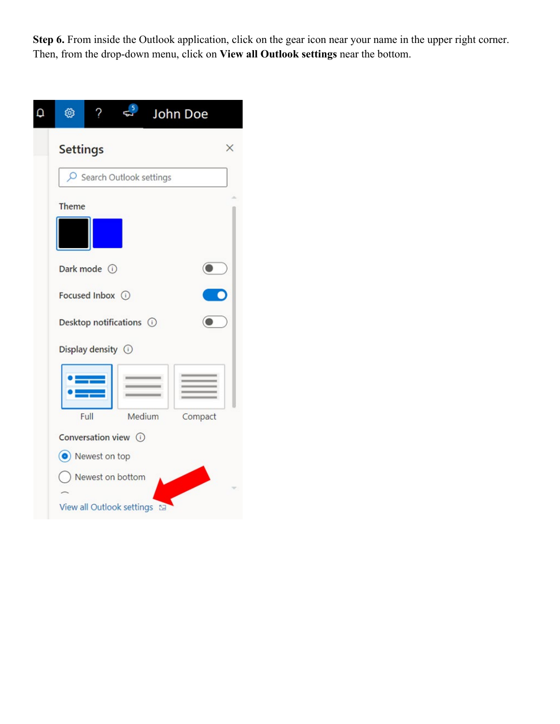**Step 6.** From inside the Outlook application, click on the gear icon near your name in the upper right corner. Then, from the drop-down menu, click on **View all Outlook settings** near the bottom.

| හූ<br>John Doe              |
|-----------------------------|
| <b>Settings</b><br>×        |
| O Search Outlook settings   |
| <b>Theme</b>                |
|                             |
| Dark mode (i)               |
| Focused Inbox (             |
| Desktop notifications (i)   |
| Display density (i)         |
|                             |
| Full<br>Medium<br>Compact   |
| Conversation view ①         |
| (c) Newest on top           |
| ) Newest on bottom          |
| View all Outlook settings a |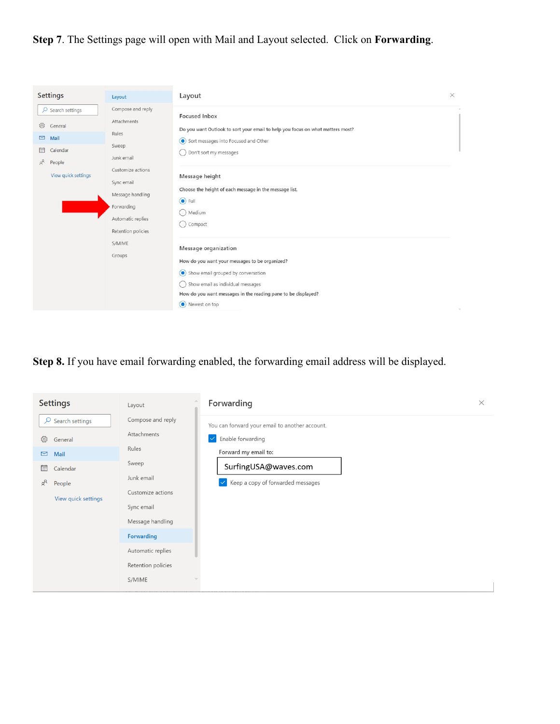## **Step 7**. The Settings page will open with Mail and Layout selected. Click on **Forwarding**.

| <b>Settings</b>                                                                                                              | Layout                                                                                                                                                                           | Layout                                                                                                                                                                                                                                                                                    | $\times$ |
|------------------------------------------------------------------------------------------------------------------------------|----------------------------------------------------------------------------------------------------------------------------------------------------------------------------------|-------------------------------------------------------------------------------------------------------------------------------------------------------------------------------------------------------------------------------------------------------------------------------------------|----------|
| $\circ$ Search settings<br>503<br>General<br>$\Box$<br>Mail<br>嗣<br>Calendar<br>$R^{\rm R}$<br>People<br>View quick settings | Compose and reply<br>Attachments<br>Rules<br>Sweep<br>Junk email<br>Customize actions<br>Sync email<br>Message handling<br>Forwarding<br>Automatic replies<br>Retention policies | <b>Focused Inbox</b><br>Do you want Outlook to sort your email to help you focus on what matters most?<br>Sort messages into Focused and Other<br>Don't sort my messages<br>Message height<br>Choose the height of each message in the message list.<br>$\odot$ Full<br>Medium<br>Compact |          |
|                                                                                                                              | S/MIME<br>Groups                                                                                                                                                                 | Message organization<br>How do you want your messages to be organized?<br>Show email grouped by conversation<br>Show email as individual messages<br>How do you want messages in the reading pane to be displayed?<br>O Newest on top                                                     |          |

**Step 8.** If you have email forwarding enabled, the forwarding email address will be displayed.

| <b>Settings</b>                 | Layout             | Forwarding                                           | $\times$ |
|---------------------------------|--------------------|------------------------------------------------------|----------|
| Search settings<br>Q            | Compose and reply  | You can forward your email to another account.       |          |
| ૹૢ૽ૺ<br>General                 | Attachments        | Enable forwarding<br>$\vert\vee\vert$                |          |
| $\triangleright$<br><b>Mail</b> | Rules              | Forward my email to:                                 |          |
| 扁<br>Calendar                   | Sweep              | SurfingUSA@waves.com                                 |          |
| $R^8$<br>People                 | Junk email         | Keep a copy of forwarded messages<br>$ \mathcal{A} $ |          |
| View quick settings             | Customize actions  |                                                      |          |
|                                 | Sync email         |                                                      |          |
|                                 | Message handling   |                                                      |          |
|                                 | Forwarding         |                                                      |          |
|                                 | Automatic replies  |                                                      |          |
|                                 | Retention policies |                                                      |          |
|                                 | S/MIME             |                                                      |          |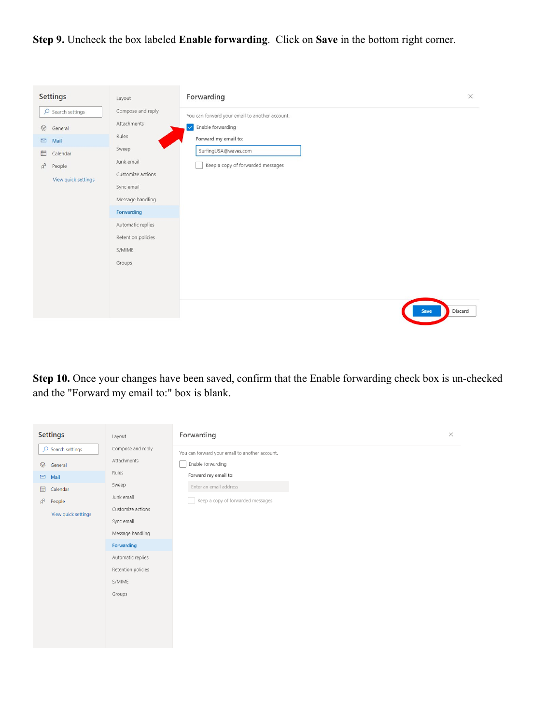**Step 9.** Uncheck the box labeled **Enable forwarding**. Click on **Save** in the bottom right corner.

| <b>Settings</b>                                                                                                                 | Layout                                                                                                                                                                                               | Forwarding                                                                                                                                               | $\times$ |
|---------------------------------------------------------------------------------------------------------------------------------|------------------------------------------------------------------------------------------------------------------------------------------------------------------------------------------------------|----------------------------------------------------------------------------------------------------------------------------------------------------------|----------|
| $\circ$ Search settings<br>ई03<br>General<br>$\square$<br>Mail<br>量<br>Calendar<br>$x^{\beta}$<br>People<br>View quick settings | Compose and reply<br>Attachments<br>Rules<br>Sweep<br>Junk email<br>Customize actions<br>Sync email<br>Message handling<br>Forwarding<br>Automatic replies<br>Retention policies<br>S/MIME<br>Groups | You can forward your email to another account.<br>Enable forwarding<br>Forward my email to:<br>SurfingUSA@waves.com<br>Keep a copy of forwarded messages |          |
|                                                                                                                                 |                                                                                                                                                                                                      | Discard<br>Save                                                                                                                                          |          |

**Step 10.** Once your changes have been saved, confirm that the Enable forwarding check box is un-checked and the "Forward my email to:" box is blank.

| <b>Settings</b>                | Layout             | Forwarding                                     | $\times$ |
|--------------------------------|--------------------|------------------------------------------------|----------|
| $\overline{O}$ Search settings | Compose and reply  | You can forward your email to another account. |          |
| ୍ୱିତ୍ୟ<br>General              | Attachments        | Enable forwarding                              |          |
| $\square$<br>Mail              | Rules              | Forward my email to:                           |          |
| 圖<br>Calendar                  | Sweep              | Enter an email address                         |          |
| $R^{\mathcal{R}}$<br>People    | Junk email         | Keep a copy of forwarded messages              |          |
| View quick settings            | Customize actions  |                                                |          |
|                                | Sync email         |                                                |          |
|                                | Message handling   |                                                |          |
|                                | Forwarding         |                                                |          |
|                                | Automatic replies  |                                                |          |
|                                | Retention policies |                                                |          |
|                                | S/MIME             |                                                |          |
|                                | Groups             |                                                |          |
|                                |                    |                                                |          |
|                                |                    |                                                |          |
|                                |                    |                                                |          |